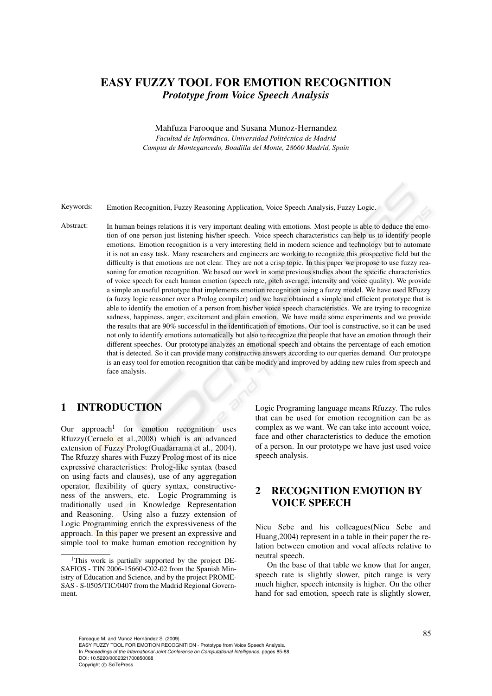# EASY FUZZY TOOL FOR EMOTION RECOGNITION *Prototype from Voice Speech Analysis*

Mahfuza Farooque and Susana Munoz-Hernandez *Facultad de Informatica, Universidad Polit ´ ecnica de Madrid ´ Campus de Montegancedo, Boadilla del Monte, 28660 Madrid, Spain*

Keywords: Emotion Recognition, Fuzzy Reasoning Application, Voice Speech Analysis, Fuzzy Logic.

Abstract: In human beings relations it is very important dealing with emotions. Most people is able to deduce the emotion of one person just listening his/her speech. Voice speech characteristics can help us to identify people emotions. Emotion recognition is a very interesting field in modern science and technology but to automate it is not an easy task. Many researchers and engineers are working to recognize this prospective field but the difficulty is that emotions are not clear. They are not a crisp topic. In this paper we propose to use fuzzy reasoning for emotion recognition. We based our work in some previous studies about the specific characteristics of voice speech for each human emotion (speech rate, pitch average, intensity and voice quality). We provide a simple an useful prototype that implements emotion recognition using a fuzzy model. We have used RFuzzy (a fuzzy logic reasoner over a Prolog compiler) and we have obtained a simple and efficient prototype that is able to identify the emotion of a person from his/her voice speech characteristics. We are trying to recognize sadness, happiness, anger, excitement and plain emotion. We have made some experiments and we provide the results that are 90% successful in the identification of emotions. Our tool is constructive, so it can be used not only to identify emotions automatically but also to recognize the people that have an emotion through their different speeches. Our prototype analyzes an emotional speech and obtains the percentage of each emotion that is detected. So it can provide many constructive answers according to our queries demand. Our prototype is an easy tool for emotion recognition that can be modify and improved by adding new rules from speech and face analysis.

## 1 INTRODUCTION

Our approach<sup>1</sup> for emotion recognition uses Rfuzzy(Ceruelo et al.,2008) which is an advanced extension of Fuzzy Prolog(Guadarrama et al., 2004). The Rfuzzy shares with Fuzzy Prolog most of its nice expressive characteristics: Prolog-like syntax (based on using facts and clauses), use of any aggregation operator, flexibility of query syntax, constructiveness of the answers, etc. Logic Programming is traditionally used in Knowledge Representation and Reasoning. Using also a fuzzy extension of Logic Programming enrich the expressiveness of the approach. In this paper we present an expressive and simple tool to make human emotion recognition by

Logic Programing language means Rfuzzy. The rules that can be used for emotion recognition can be as complex as we want. We can take into account voice, face and other characteristics to deduce the emotion of a person. In our prototype we have just used voice speech analysis.

# 2 RECOGNITION EMOTION BY VOICE SPEECH

Nicu Sebe and his colleagues(Nicu Sebe and Huang,2004) represent in a table in their paper the relation between emotion and vocal affects relative to neutral speech.

On the base of that table we know that for anger, speech rate is slightly slower, pitch range is very much higher, speech intensity is higher. On the other hand for sad emotion, speech rate is slightly slower,

Farooque M. and Munoz Hernández S. (2009). EASY FUZZY TOOL FOR EMOTION RECOGNITION - Prototype from Voice Speech Analysis. In *Proceedings of the International Joint Conference on Computational Intelligence*, pages 85-88 DOI: 10.5220/0002321700850088 Copyright © SciTePress

<sup>&</sup>lt;sup>1</sup>This work is partially supported by the project DE-SAFIOS - TIN 2006-15660-C02-02 from the Spanish Ministry of Education and Science, and by the project PROME-SAS - S-0505/TIC/0407 from the Madrid Regional Government.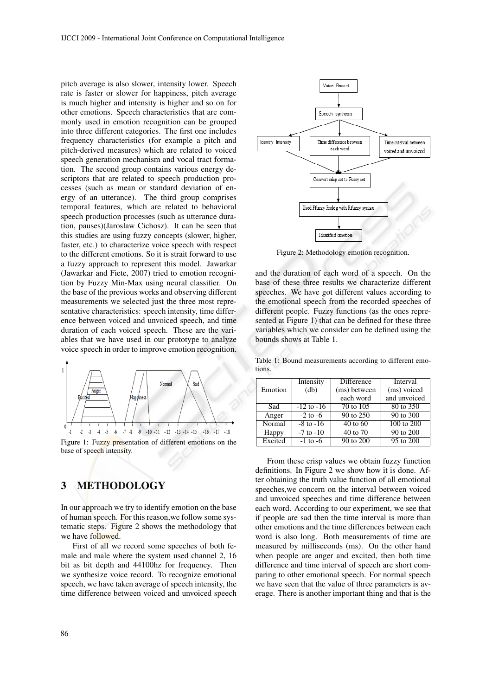pitch average is also slower, intensity lower. Speech rate is faster or slower for happiness, pitch average is much higher and intensity is higher and so on for other emotions. Speech characteristics that are commonly used in emotion recognition can be grouped into three different categories. The first one includes frequency characteristics (for example a pitch and pitch-derived measures) which are related to voiced speech generation mechanism and vocal tract formation. The second group contains various energy descriptors that are related to speech production processes (such as mean or standard deviation of energy of an utterance). The third group comprises temporal features, which are related to behavioral speech production processes (such as utterance duration, pauses)(Jaroslaw Cichosz). It can be seen that this studies are using fuzzy concepts (slower, higher, faster, etc.) to characterize voice speech with respect to the different emotions. So it is strait forward to use a fuzzy approach to represent this model. Jawarkar (Jawarkar and Fiete, 2007) tried to emotion recognition by Fuzzy Min-Max using neural classifier. On the base of the previous works and observing different measurements we selected just the three most representative characteristics: speech intensity, time difference between voiced and unvoiced speech, and time duration of each voiced speech. These are the variables that we have used in our prototype to analyze voice speech in order to improve emotion recognition.



Figure 1: Fuzzy presentation of different emotions on the base of speech intensity.

# 3 METHODOLOGY

In our approach we try to identify emotion on the base of human speech. For this reason,we follow some systematic steps. Figure 2 shows the methodology that we have followed.

First of all we record some speeches of both female and male where the system used channel 2, 16 bit as bit depth and 44100hz for frequency. Then we synthesize voice record. To recognize emotional speech, we have taken average of speech intensity, the time difference between voiced and unvoiced speech



Figure 2: Methodology emotion recognition.

and the duration of each word of a speech. On the base of these three results we characterize different speeches. We have got different values according to the emotional speech from the recorded speeches of different people. Fuzzy functions (as the ones represented at Figure 1) that can be defined for these three variables which we consider can be defined using the bounds shows at Table 1.

Table 1: Bound measurements according to different emotions.

|         | Intensity      | Difference             | Interval     |
|---------|----------------|------------------------|--------------|
| Emotion | (db)           | (ms) between           | (ms) voiced  |
|         |                | each word              | and unvoiced |
| Sad     | $-12$ to $-16$ | 70 to 105              | 80 to 350    |
| Anger   | $-2$ to $-6$   | 90 to $2\overline{50}$ | 90 to 300    |
| Normal  | $-8$ to $-16$  | $40$ to $60$           | 100 to 200   |
| Happy   | $-7$ to $-10$  | 40 to 70               | 90 to 200    |
| Excited | $-1$ to $-6$   | 90 to 200              | 95 to 200    |

From these crisp values we obtain fuzzy function definitions. In Figure 2 we show how it is done. After obtaining the truth value function of all emotional speeches,we concern on the interval between voiced and unvoiced speeches and time difference between each word. According to our experiment, we see that if people are sad then the time interval is more than other emotions and the time differences between each word is also long. Both measurements of time are measured by milliseconds (ms). On the other hand when people are anger and excited, then both time difference and time interval of speech are short comparing to other emotional speech. For normal speech we have seen that the value of three parameters is average. There is another important thing and that is the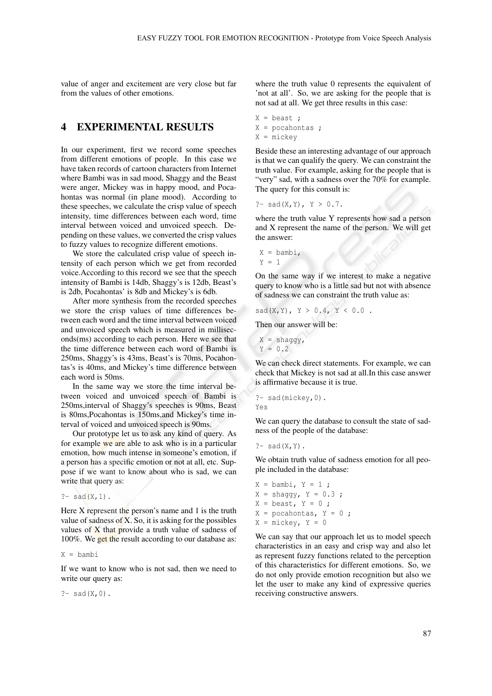value of anger and excitement are very close but far from the values of other emotions.

#### 4 EXPERIMENTAL RESULTS

In our experiment, first we record some speeches from different emotions of people. In this case we have taken records of cartoon characters from Internet where Bambi was in sad mood, Shaggy and the Beast were anger, Mickey was in happy mood, and Pocahontas was normal (in plane mood). According to these speeches, we calculate the crisp value of speech intensity, time differences between each word, time interval between voiced and unvoiced speech. Depending on these values, we converted the crisp values to fuzzy values to recognize different emotions.

We store the calculated crisp value of speech intensity of each person which we get from recorded voice.According to this record we see that the speech intensity of Bambi is 14db, Shaggy's is 12db, Beast's is 2db, Pocahontas' is 8db and Mickey's is 6db.

After more synthesis from the recorded speeches we store the crisp values of time differences between each word and the time interval between voiced and unvoiced speech which is measured in milliseconds(ms) according to each person. Here we see that the time difference between each word of Bambi is 250ms, Shaggy's is 43ms, Beast's is 70ms, Pocahontas's is 40ms, and Mickey's time difference between each word is 50ms.

In the same way we store the time interval between voiced and unvoiced speech of Bambi is 250ms,interval of Shaggy's speeches is 90ms, Beast is 80ms,Pocahontas is 150ms,and Mickey's time interval of voiced and unvoiced speech is 90ms.

Our prototype let us to ask any kind of query. As for example we are able to ask who is in a particular emotion, how much intense in someone's emotion, if a person has a specific emotion or not at all, etc. Suppose if we want to know about who is sad, we can write that query as:

```
? - sad(X, 1).
```
Here X represent the person's name and 1 is the truth value of sadness of X. So, it is asking for the possibles values of  $X$  that provide a truth value of sadness of 100%. We get the result according to our database as:

 $X = \text{hamhi}$ 

If we want to know who is not sad, then we need to write our query as:

 $? -$  sad(X,0).

where the truth value 0 represents the equivalent of 'not at all'. So, we are asking for the people that is not sad at all. We get three results in this case:

X = beast ; X = pocahontas ; X = mickey

Beside these an interesting advantage of our approach is that we can qualify the query. We can constraint the truth value. For example, asking for the people that is "very" sad, with a sadness over the 70% for example. The query for this consult is:

```
?- sad(X, Y), Y > 0.7.
```
where the truth value Y represents how sad a person and X represent the name of the person. We will get the answer:

```
X =bambi,
Y = 1
```
On the same way if we interest to make a negative query to know who is a little sad but not with absence of sadness we can constraint the truth value as:

 $sad(X, Y), Y > 0.4, Y < 0.0$ .

Then our answer will be:

$$
X = \text{shaggy},
$$
  

$$
Y = 0.2
$$

We can check direct statements. For example, we can check that Mickey is not sad at all.In this case answer is affirmative because it is true.

```
?- sad(mickey,0).
Yes
```
We can query the database to consult the state of sadness of the people of the database:

```
? - sad(X, Y).
```
We obtain truth value of sadness emotion for all people included in the database:

 $X =$  bambi,  $Y = 1$ ;  $X =$  shaggy,  $Y = 0.3$ ;  $X = \text{beast}, Y = 0;$  $X = pocahontas, Y = 0;$  $X =$  mickey,  $Y = 0$ 

We can say that our approach let us to model speech characteristics in an easy and crisp way and also let as represent fuzzy functions related to the perception of this characteristics for different emotions. So, we do not only provide emotion recognition but also we let the user to make any kind of expressive queries receiving constructive answers.